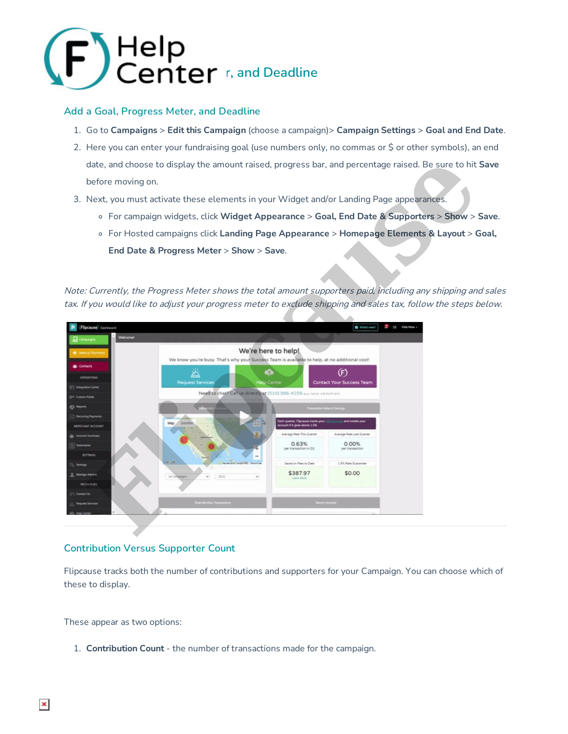

### **Add a Goal, Progress Meter, and Deadline**

- 1. Go to **Campaigns** > **Edit this Campaign** (choose a campaign)> **Campaign Settings** > **Goal and End Date**.
- 2. Here you can enter your fundraising goal (use numbers only, no commas or \$ or other symbols), an end date, and choose to display the amount raised, progress bar, and percentage raised. Be sure to hit **Save** before moving on.
- 3. Next, you must activate these elements in your Widget and/or Landing Page appearances.
	- For campaign widgets, click **Widget Appearance** > **Goal, End Date & Supporters** > **Show** > **Save**.
	- For Hosted campaigns click **Landing Page Appearance** > **Homepage Elements & Layout** > **Goal, End Date & Progress Meter** > **Show** > **Save**.

Note: Currently, the Progress Meter shows the total amount supporters paid, including any shipping and sales tax. If you would like to adjust your progress meter to exclude shipping and sales tax, follow the steps below.



### **Contribution Versus Supporter Count**

Flipcause tracks both the number of contributions and supporters for your Campaign. You can choose which of these to display.

These appear as two options:

1. **Contribution Count** - the number of transactions made for the campaign.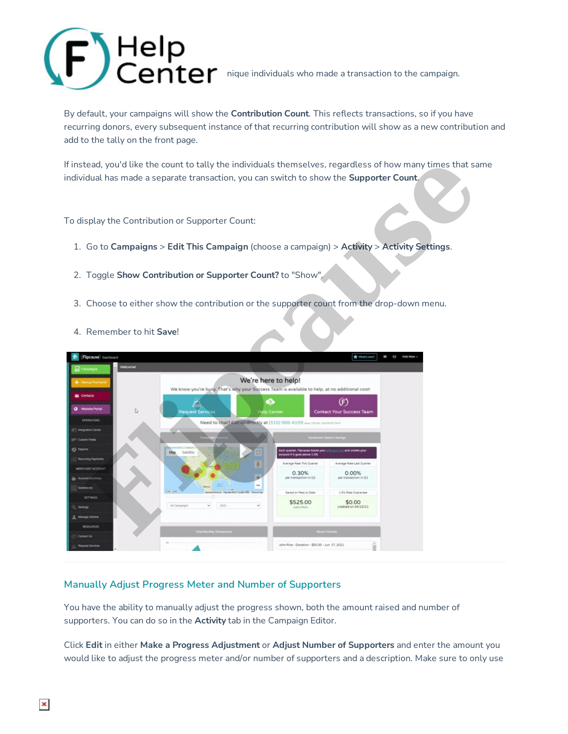

By default, your campaigns will show the **Contribution Count**. This reflects transactions, so if you have recurring donors, every subsequent instance of that recurring contribution will show as a new contribution and add to the tally on the front page.

If instead, you'd like the count to tally the individuals themselves, regardless of how many times that same individual has made a separate transaction, you can switch to show the **Supporter Count**.

To display the Contribution or Supporter Count:

- 1. Go to **Campaigns** > **Edit This Campaign** (choose a campaign) > **Activity** > **Activity Settings**.
- 2. Toggle **Show Contribution or Supporter Count?** to "Show".
- 3. Choose to either show the contribution or the supporter count from the drop-down menu.
- 4. Remember to hit **Save**!



### **Manually Adjust Progress Meter and Number of Supporters**

You have the ability to manually adjust the progress shown, both the amount raised and number of supporters. You can do so in the **Activity** tab in the Campaign Editor.

Click **Edit** in either **Make a Progress Adjustment** or **Adjust Number of Supporters** and enter the amount you would like to adjust the progress meter and/or number of supporters and a description. Make sure to only use